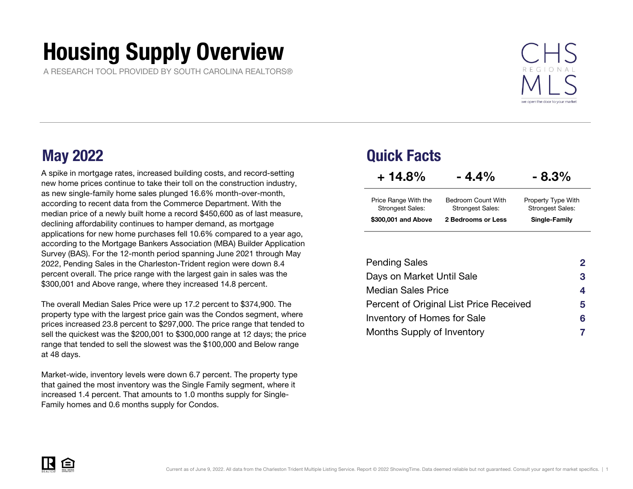# Housing Supply Overview

A RESEARCH TOOL PROVIDED BY SOUTH CAROLINA REALTORS®



A spike in mortgage rates, increased building costs, and record-setting new home prices continue to take their toll on the construction industry, as new single-family home sales plunged 16.6% month-over-month, according to recent data from the Commerce Department. With the median price of a newly built home a record \$450,600 as of last measure, declining affordability continues to hamper demand, as mortgage applications for new home purchases fell 10.6% compared to a year ago, according to the Mortgage Bankers Association (MBA) Builder Application Survey (BAS). For the 12-month period spanning June 2021 through May 2022, Pending Sales in the Charleston-Trident region were down 8.4 percent overall. The price range with the largest gain in sales was the \$300,001 and Above range, where they increased 14.8 percent.

The overall Median Sales Price were up 17.2 percent to \$374,900. The property type with the largest price gain was the Condos segment, where prices increased 23.8 percent to \$297,000. The price range that tended to sell the quickest was the \$200,001 to \$300,000 range at 12 days; the price range that tended to sell the slowest was the \$100,000 and Below range at 48 days.

Market-wide, inventory levels were down 6.7 percent. The property type that gained the most inventory was the Single Family segment, where it increased 1.4 percent. That amounts to 1.0 months supply for Single-Family homes and 0.6 months supply for Condos.

### May 2022 Quick Facts

| $+14.8%$                                        | $-4.4%$                                       | $-8.3\%$                                      |
|-------------------------------------------------|-----------------------------------------------|-----------------------------------------------|
| Price Range With the<br><b>Strongest Sales:</b> | Bedroom Count With<br><b>Strongest Sales:</b> | Property Type With<br><b>Strongest Sales:</b> |
| \$300,001 and Above                             | 2 Bedrooms or Less                            | Single-Family                                 |

| <b>Pending Sales</b>                    |   |
|-----------------------------------------|---|
| Days on Market Until Sale               | З |
| <b>Median Sales Price</b>               | 4 |
| Percent of Original List Price Received | 5 |
| Inventory of Homes for Sale             | 6 |
| Months Supply of Inventory              |   |

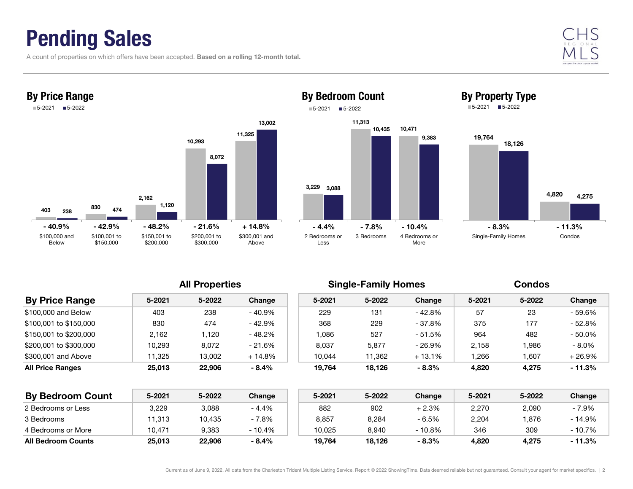## Pending Sales

A count of properties on which offers have been accepted. Based on a rolling 12-month total.









By Property Type

| <b>By Price Range</b>   | $5 - 2021$ | 5-2022 | Change   | $5 - 2021$ | 5-2022 | Change   | $5 - 2021$ | 5-2022 | Change    |
|-------------------------|------------|--------|----------|------------|--------|----------|------------|--------|-----------|
| \$100,000 and Below     | 403        | 238    | $-40.9%$ | 229        | 131    | - 42.8%  | 57         | 23     | - 59.6%   |
| \$100,001 to \$150,000  | 830        | 474    | $-42.9%$ | 368        | 229    | - 37.8%  | 375        | 177    | - 52.8%   |
| \$150,001 to \$200,000  | 2,162      | 1,120  | $-48.2%$ | 1,086      | 527    | - 51.5%  | 964        | 482    | $-50.0\%$ |
| \$200,001 to \$300,000  | 10,293     | 8,072  | - 21.6%  | 8.037      | 5,877  | - 26.9%  | 2,158      | 986. ا | $-8.0\%$  |
| \$300,001 and Above     | 11,325     | 13,002 | + 14.8%  | 10.044     | 11,362 | $+13.1%$ | .266       | 1,607  | $+26.9\%$ |
| <b>All Price Ranges</b> | 25,013     | 22,906 | $-8.4%$  | 19.764     | 18,126 | $-8.3%$  | 4,820      | 4,275  | $-11.3%$  |

| <b>By Bedroom Count</b>   | 5-2021 | 5-2022 | Change   | 5-2021 | 5-2022 | Change  | 5-2021 | 5-2022 | Change |
|---------------------------|--------|--------|----------|--------|--------|---------|--------|--------|--------|
| 2 Bedrooms or Less        | 3.229  | 3.088  | $-4.4%$  | 882    | 902    | + 2.3%  | 2.270  | 2,090  | 7.9%   |
| 3 Bedrooms                | 11.313 | 10,435 | $-7.8%$  | 8.857  | 8,284  | - 6.5%  | 2,204  | .876   | 14.9%  |
| 4 Bedrooms or More        | 10.471 | 9.383  | $-10.4%$ | 10.025 | 8.940  | - 10.8% | 346    | 309    | 10.7%  |
| <b>All Bedroom Counts</b> | 25,013 | 22,906 | $-8.4%$  | 19.764 | 18,126 | $-8.3%$ | 4,820  | 4.275  | 11.3%  |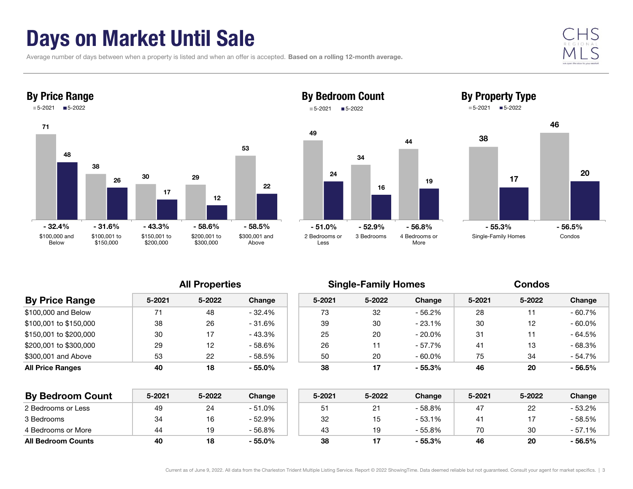## Days on Market Until Sale

Average number of days between when a property is listed and when an offer is accepted. Based on a rolling 12-month average.





### By Bedroom Count 5-2021■5-2022



![](_page_2_Figure_6.jpeg)

By Property Type

| <b>By Price Range</b>   | $5 - 2021$ | 5-2022 | Change  | $5 - 2021$ | 5-2022 | Change    | 5-2021         | 5-2022 | Change    |  |  |  |  |
|-------------------------|------------|--------|---------|------------|--------|-----------|----------------|--------|-----------|--|--|--|--|
| \$100,000 and Below     | 71         | 48     | - 32.4% | 73         | 32     | $-56.2%$  | 28             |        | $-60.7\%$ |  |  |  |  |
| \$100,001 to \$150,000  | 38         | 26     | - 31.6% | 39         | 30     | $-23.1%$  | 30             | 12     | $-60.0\%$ |  |  |  |  |
| \$150,001 to \$200,000  | 30         | 17     | - 43.3% | 25         | 20     | $-20.0\%$ | 31             |        | - 64.5%   |  |  |  |  |
| \$200,001 to \$300,000  | 29         | 12     | - 58.6% | 26         |        | - 57.7%   | 4 <sup>1</sup> | 13     | - 68.3%   |  |  |  |  |
| \$300,001 and Above     | 53         | 22     | - 58.5% | 50         | 20     | $-60.0\%$ | 75             | 34     | - 54.7%   |  |  |  |  |
| <b>All Price Ranges</b> | 40         | 18     | - 55.0% | 38         | 17     | $-55.3%$  | 46             | 20     | $-56.5%$  |  |  |  |  |
|                         |            |        |         |            |        |           |                |        |           |  |  |  |  |

| <b>By Bedroom Count</b>   | 5-2021 | 5-2022 | Change   | $5 - 2021$ | 5-2022 | Change   | 5-2021 | 5-2022 | Change   |
|---------------------------|--------|--------|----------|------------|--------|----------|--------|--------|----------|
| 2 Bedrooms or Less        | 49     | 24     | $-51.0%$ | 51         |        | $-58.8%$ | 47     | 22     | - 53.2%  |
| 3 Bedrooms                | 34     | 16     | - 52.9%  | 32         | 15     | $-53.1%$ |        |        | - 58.5%  |
| 4 Bedrooms or More        | 44     | 1 Q    | - 56.8%  | 43         | 19     | $-55.8%$ | 70     | 30     | $-57.1%$ |
| <b>All Bedroom Counts</b> | 40     | 18     | $-55.0%$ | 38         |        | $-55.3%$ | 46     | 20     | - 56.5%  |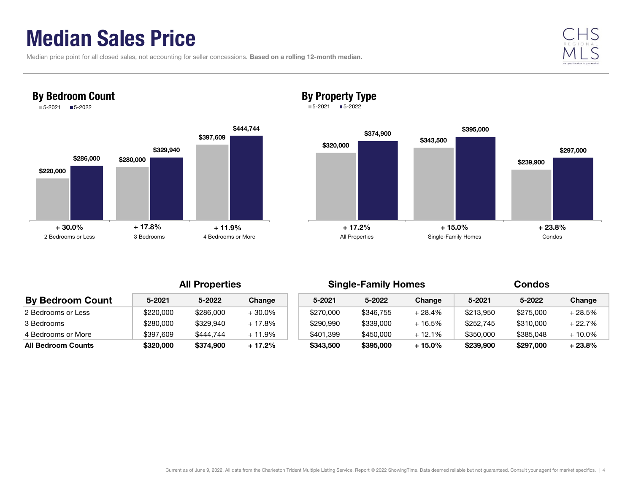### Median Sales Price

By Bedroom Count

|  |  |  |  | Median price point for all closed sales, not accounting for seller concessions. Based on a rolling 12-month median. |  |  |  |
|--|--|--|--|---------------------------------------------------------------------------------------------------------------------|--|--|--|
|  |  |  |  |                                                                                                                     |  |  |  |

![](_page_3_Picture_2.jpeg)

![](_page_3_Figure_3.jpeg)

### By Property Type

5-2021 5-2022

![](_page_3_Figure_6.jpeg)

| <b>By Bedroom Count</b>   | 5-2021    | 5-2022    | Change    | $5 - 2021$ | 5-2022    | Change   | 5-2021    | 5-2022    | Change  |
|---------------------------|-----------|-----------|-----------|------------|-----------|----------|-----------|-----------|---------|
| 2 Bedrooms or Less        | \$220,000 | \$286,000 | $+30.0\%$ | \$270,000  | \$346,755 | $+28.4%$ | \$213,950 | \$275,000 | + 28.5% |
| 3 Bedrooms                | \$280,000 | \$329,940 | $+17.8%$  | \$290,990  | \$339,000 | + 16.5%  | \$252,745 | \$310,000 | + 22.7% |
| 4 Bedrooms or More        | \$397.609 | \$444.744 | $+11.9%$  | \$401.399  | \$450,000 | $+12.1%$ | \$350,000 | \$385,048 | + 10.0% |
| <b>All Bedroom Counts</b> | \$320,000 | \$374,900 | + 17.2%   | \$343,500  | \$395,000 | $+15.0%$ | \$239,900 | \$297,000 | + 23.8% |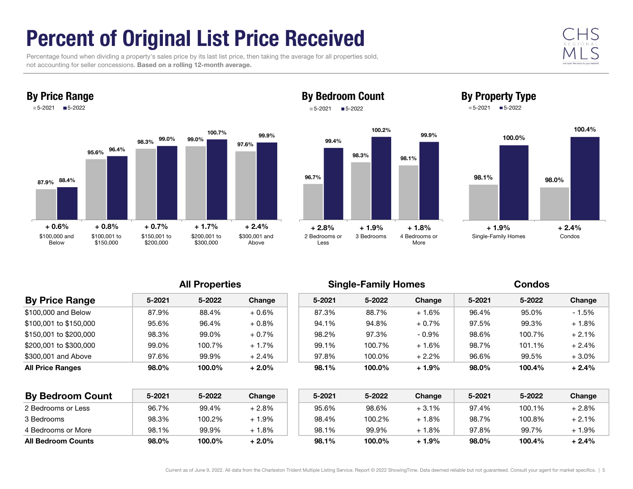# Percent of Original List Price Received

 Percentage found when dividing a property's sales price by its last list price, then taking the average for all properties sold, not accounting for seller concessions. Based on a rolling 12-month average.

![](_page_4_Picture_2.jpeg)

![](_page_4_Figure_3.jpeg)

### By Bedroom Count ■5-2022

![](_page_4_Figure_5.jpeg)

![](_page_4_Figure_6.jpeg)

By Property Type

All Properties Single-Family Homes Condos

|                         |        |        |          | . .    |        |         |            |        |         |  |
|-------------------------|--------|--------|----------|--------|--------|---------|------------|--------|---------|--|
| <b>By Price Range</b>   | 5-2021 | 5-2022 | Change   | 5-2021 | 5-2022 | Change  | $5 - 2021$ | 5-2022 | Change  |  |
| \$100,000 and Below     | 87.9%  | 88.4%  | $+0.6%$  | 87.3%  | 88.7%  | $+1.6%$ | 96.4%      | 95.0%  | $-1.5%$ |  |
| \$100,001 to \$150,000  | 95.6%  | 96.4%  | $+0.8\%$ | 94.1%  | 94.8%  | $+0.7%$ | 97.5%      | 99.3%  | $+1.8%$ |  |
| \$150,001 to \$200,000  | 98.3%  | 99.0%  | $+0.7\%$ | 98.2%  | 97.3%  | - 0.9%  | 98.6%      | 100.7% | $+2.1%$ |  |
| \$200,001 to \$300,000  | 99.0%  | 100.7% | $+1.7%$  | 99.1%  | 100.7% | $+1.6%$ | 98.7%      | 101.1% | + 2.4%  |  |
| \$300,001 and Above     | 97.6%  | 99.9%  | $+2.4%$  | 97.8%  | 100.0% | $+2.2%$ | 96.6%      | 99.5%  | $+3.0%$ |  |
| <b>All Price Ranges</b> | 98.0%  | 100.0% | $+2.0%$  | 98.1%  | 100.0% | $+1.9%$ | 98.0%      | 100.4% | $+2.4%$ |  |
|                         |        |        |          |        |        |         |            |        |         |  |
|                         |        |        |          |        |        |         |            |        |         |  |

5-2021

| <b>By Bedroom Count</b>   | 5-2021 | 5-2022 | Change | 5-2021 | 5-2022 | Change  | 5-2021 | 5-2022 | Change  |
|---------------------------|--------|--------|--------|--------|--------|---------|--------|--------|---------|
| 2 Bedrooms or Less        | 96.7%  | 99.4%  | + 2.8% | 95.6%  | 98.6%  | + 3.1%  | 97.4%  | 100.1% | + 2.8%  |
| 3 Bedrooms                | 98.3%  | 100.2% | + 1.9% | 98.4%  | 100.2% | + 1.8%  | 98.7%  | 100.8% | $+2.1%$ |
| 4 Bedrooms or More        | 98.1%  | 99.9%  | + 1.8% | 98.1%  | 99.9%  | $+1.8%$ | 97.8%  | 99.7%  | + 1.9%  |
| <b>All Bedroom Counts</b> | 98.0%  | 100.0% | + 2.0% | 98.1%  | 100.0% | + 1.9%  | 98.0%  | 100.4% | $+2.4%$ |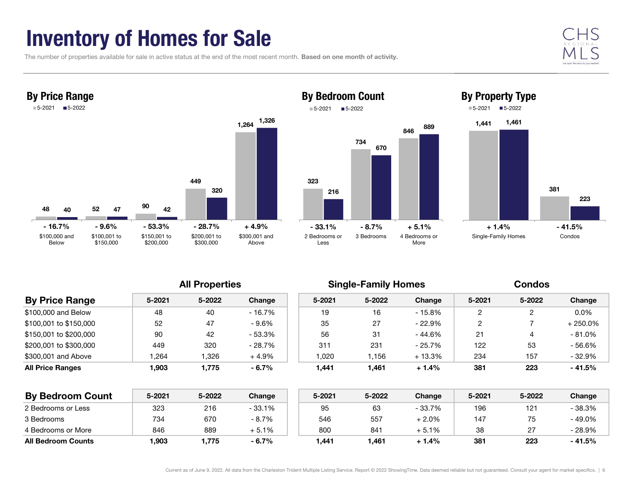### Inventory of Homes for Sale

The number of properties available for sale in active status at the end of the most recent month. Based on one month of activity.

![](_page_5_Picture_2.jpeg)

![](_page_5_Figure_3.jpeg)

![](_page_5_Figure_4.jpeg)

![](_page_5_Figure_5.jpeg)

| <b>By Price Range</b>   | 5-2021 | 5-2022 | Change   | $5 - 2021$ | 5-2022 | Change   | 5-2021        | 5-2022 | Change     |
|-------------------------|--------|--------|----------|------------|--------|----------|---------------|--------|------------|
| \$100,000 and Below     | 48     | 40     | - 16.7%  | 19         | 16     | $-15.8%$ |               |        | $0.0\%$    |
| \$100.001 to \$150.000  | 52     | 47     | $-9.6\%$ | 35         | 27     | - 22.9%  | $\mathcal{D}$ |        | $+250.0\%$ |
| \$150.001 to \$200.000  | 90     | 42     | - 53.3%  | 56         | 31     | - 44.6%  | 21            |        | $-81.0\%$  |
| \$200.001 to \$300.000  | 449    | 320    | - 28.7%  | 311        | 231    | - 25.7%  | 122           | 53     | - 56.6%    |
| \$300,001 and Above     | .264   | ,326   | $+4.9%$  | 1,020      | 1.156  | $+13.3%$ | 234           | 157    | - 32.9%    |
| <b>All Price Ranges</b> | 1.903  | 775،،  | $-6.7%$  | 1.441      | 1,461  | $+1.4%$  | 381           | 223    | $-41.5%$   |
|                         |        |        |          |            |        |          |               |        |            |

| <b>By Bedroom Count</b>   | 5-2021 | 5-2022 | Change   | 5-2021 | 5-2022 | Change  | 5-2021 | 5-2022 | Change  |
|---------------------------|--------|--------|----------|--------|--------|---------|--------|--------|---------|
| 2 Bedrooms or Less        | 323    | 216    | $-33.1%$ | 95     | 63     | - 33.7% | 196    | 121    | - 38.3% |
| 3 Bedrooms                | 734    | 670    | $-8.7%$  | 546    | 557    | + 2.0%  | 147    | --     | - 49.0% |
| 4 Bedrooms or More        | 846    | 889    | + 5.1%   | 800    | 841    | $+5.1%$ | 38     | ົ      | - 28.9% |
| <b>All Bedroom Counts</b> | .903   | 1.775  | $-6.7%$  | 441.ا  | .461   | + 1.4%  | 381    | 223    | - 41.5% |